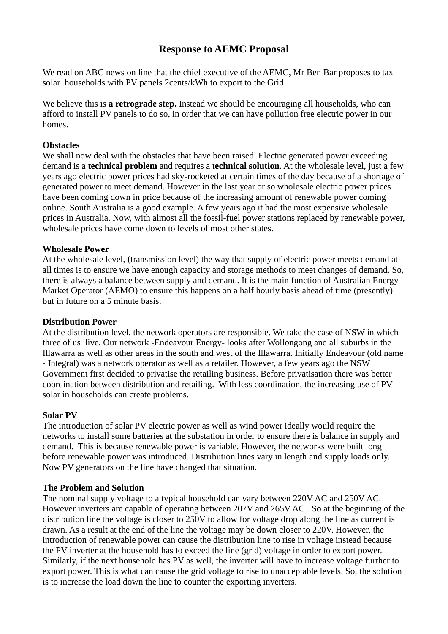# **Response to AEMC Proposal**

We read on ABC news on line that the chief executive of the AEMC, Mr Ben Bar proposes to tax solar households with PV panels 2cents/kWh to export to the Grid.

We believe this is **a retrograde step.** Instead we should be encouraging all households, who can afford to install PV panels to do so, in order that we can have pollution free electric power in our homes.

## **Obstacles**

We shall now deal with the obstacles that have been raised. Electric generated power exceeding demand is a **technical problem** and requires a t**echnical solution**. At the wholesale level, just a few years ago electric power prices had sky-rocketed at certain times of the day because of a shortage of generated power to meet demand. However in the last year or so wholesale electric power prices have been coming down in price because of the increasing amount of renewable power coming online. South Australia is a good example. A few years ago it had the most expensive wholesale prices in Australia. Now, with almost all the fossil-fuel power stations replaced by renewable power, wholesale prices have come down to levels of most other states.

## **Wholesale Power**

At the wholesale level, (transmission level) the way that supply of electric power meets demand at all times is to ensure we have enough capacity and storage methods to meet changes of demand. So, there is always a balance between supply and demand. It is the main function of Australian Energy Market Operator (AEMO) to ensure this happens on a half hourly basis ahead of time (presently) but in future on a 5 minute basis.

#### **Distribution Power**

At the distribution level, the network operators are responsible. We take the case of NSW in which three of us live. Our network -Endeavour Energy- looks after Wollongong and all suburbs in the Illawarra as well as other areas in the south and west of the Illawarra. Initially Endeavour (old name - Integral) was a network operator as well as a retailer. However, a few years ago the NSW Government first decided to privatise the retailing business. Before privatisation there was better coordination between distribution and retailing. With less coordination, the increasing use of PV solar in households can create problems.

# **Solar PV**

The introduction of solar PV electric power as well as wind power ideally would require the networks to install some batteries at the substation in order to ensure there is balance in supply and demand. This is because renewable power is variable. However, the networks were built long before renewable power was introduced. Distribution lines vary in length and supply loads only. Now PV generators on the line have changed that situation.

#### **The Problem and Solution**

The nominal supply voltage to a typical household can vary between 220V AC and 250V AC. However inverters are capable of operating between 207V and 265V AC.. So at the beginning of the distribution line the voltage is closer to 250V to allow for voltage drop along the line as current is drawn. As a result at the end of the line the voltage may be down closer to 220V. However, the introduction of renewable power can cause the distribution line to rise in voltage instead because the PV inverter at the household has to exceed the line (grid) voltage in order to export power. Similarly, if the next household has PV as well, the inverter will have to increase voltage further to export power. This is what can cause the grid voltage to rise to unacceptable levels. So, the solution is to increase the load down the line to counter the exporting inverters.